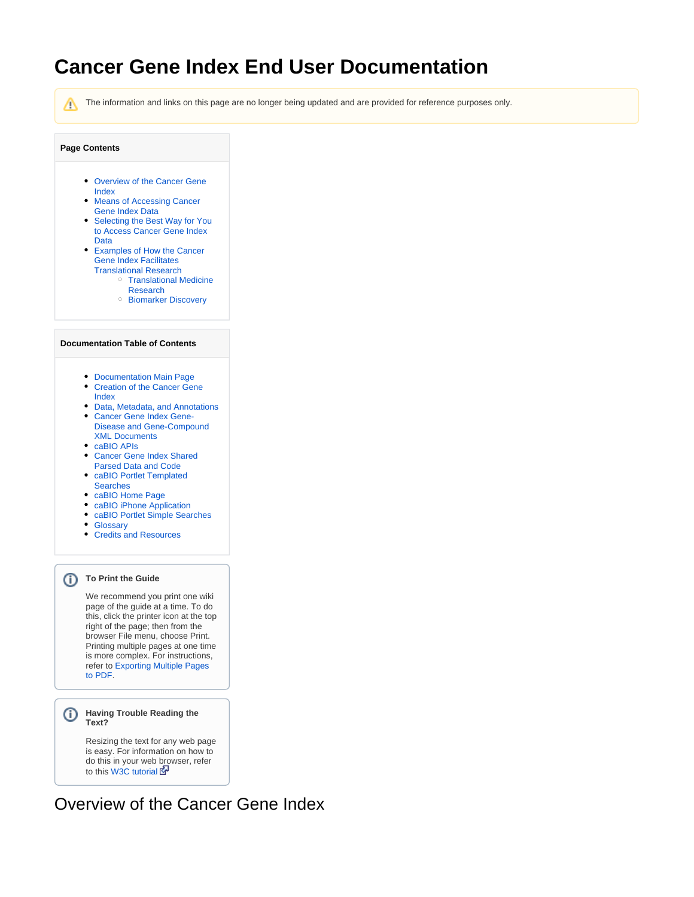# **Cancer Gene Index End User Documentation**

Λ

The information and links on this page are no longer being updated and are provided for reference purposes only.

### **Page Contents**

- [Overview of the Cancer Gene](#page-0-0)  [Index](#page-0-0)
- Means of Accessing Cancer [Gene Index Data](#page-1-0)
- Selecting the Best Way for You [to Access Cancer Gene Index](#page-1-1)  [Data](#page-1-1)
- [Examples of How the Cancer](#page-2-0)  [Gene Index Facilitates](#page-2-0)  [Translational Research](#page-2-0)
	- [Translational Medicine](#page-2-1)  [Research](#page-2-1)
	- <sup>o</sup> [Biomarker Discovery](#page-2-2)

#### **Documentation Table of Contents**

- [Documentation Main Page](https://wiki.nci.nih.gov/x/hC5yAQ)
- [Creation of the Cancer Gene](https://wiki.nci.nih.gov/x/DS9yAQ)  [Index](https://wiki.nci.nih.gov/x/DS9yAQ)
- [Data, Metadata, and Annotations](https://wiki.nci.nih.gov/x/zC1yAQ)
- [Cancer Gene Index Gene-](https://wiki.nci.nih.gov/x/8i1yAQ)[Disease and Gene-Compound](https://wiki.nci.nih.gov/x/8i1yAQ)  [XML Documents](https://wiki.nci.nih.gov/x/8i1yAQ)
- [caBIO APIs](https://wiki.nci.nih.gov/x/7zByAQ)
- [Cancer Gene Index Shared](https://wiki.nci.nih.gov/x/hzJyAQ)
- [Parsed Data and Code](https://wiki.nci.nih.gov/x/hzJyAQ) [caBIO Portlet Templated](https://wiki.nci.nih.gov/x/0C9yAQ)
- [Searches](https://wiki.nci.nih.gov/x/0C9yAQ)
- [caBIO Home Page](https://wiki.nci.nih.gov/x/TTByAQ)
- [caBIO iPhone Application](https://wiki.nci.nih.gov/x/VDFyAQ)
- [caBIO Portlet Simple Searches](https://wiki.nci.nih.gov/x/-TByAQ)
- [Glossary](https://wiki.nci.nih.gov/x/si9yAQ)
- [Credits and Resources](https://wiki.nci.nih.gov/x/yS9yAQ)

### **To Print the Guide**

We recommend you print one wiki page of the guide at a time. To do this, click the printer icon at the top right of the page; then from the browser File menu, choose Print. Printing multiple pages at one time is more complex. For instructions, refer to [Exporting Multiple Pages](https://wiki.nci.nih.gov/display/WikiTrainFAQsTips/Exporting+Multiple+Pages+to+PDF)  [to PDF](https://wiki.nci.nih.gov/display/WikiTrainFAQsTips/Exporting+Multiple+Pages+to+PDF).

### **Having Trouble Reading the Text?**

Resizing the text for any web page is easy. For information on how to do this in your web browser, refer to this [W3C tutorial](http://www.w3.org/WAI/changedesign) EP

## <span id="page-0-0"></span>Overview of the Cancer Gene Index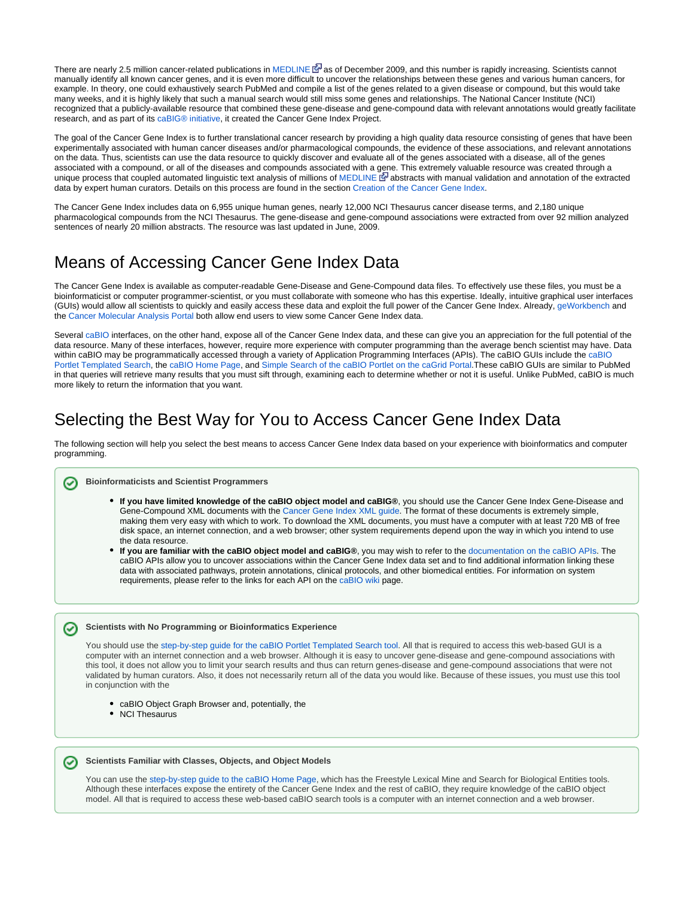There are nearly 2.5 million cancer-related publications in [MEDLINE](http://www.proquest.com/en-US/catalogs/databases/detail/medline_ft.shtml) & [a](http://www.cancer.gov/policies/linking)s of December 2009, and this number is rapidly increasing. Scientists cannot manually identify all known cancer genes, and it is even more difficult to uncover the relationships between these genes and various human cancers, for example. In theory, one could exhaustively search PubMed and compile a list of the genes related to a given disease or compound, but this would take many weeks, and it is highly likely that such a manual search would still miss some genes and relationships. The National Cancer Institute (NCI) recognized that a publicly-available resource that combined these gene-disease and gene-compound data with relevant annotations would greatly facilitate research, and as part of its [caBIG® initiative](http://cabig.cancer.gov/), it created the Cancer Gene Index Project.

The goal of the Cancer Gene Index is to further translational cancer research by providing a high quality data resource consisting of genes that have been experimentally associated with human cancer diseases and/or pharmacological compounds, the evidence of these associations, and relevant annotations on the data. Thus, scientists can use the data resource to quickly discover and evaluate all of the genes associated with a disease, all of the genes associated with a compound, or all of the diseases and compounds associated with a [gen](http://www.cancer.gov/policies/linking)e. This extremely valuable resource was created through a unique process that coupled automated linguistic text analysis of millions of [MEDLINE](http://www.proquest.com/en-US/catalogs/databases/detail/medline_ft.shtml) E abstracts with manual validation and annotation of the extracted data by expert human curators. Details on this process are found in the section [Creation of the Cancer Gene Index.](https://wiki.nci.nih.gov/x/DS9yAQ)

The Cancer Gene Index includes data on 6,955 unique human genes, nearly 12,000 NCI Thesaurus cancer disease terms, and 2,180 unique pharmacological compounds from the NCI Thesaurus. The gene-disease and gene-compound associations were extracted from over 92 million analyzed sentences of nearly 20 million abstracts. The resource was last updated in June, 2009.

# <span id="page-1-0"></span>Means of Accessing Cancer Gene Index Data

The Cancer Gene Index is available as computer-readable Gene-Disease and Gene-Compound data files. To effectively use these files, you must be a bioinformaticist or computer programmer-scientist, or you must collaborate with someone who has this expertise. Ideally, intuitive graphical user interfaces (GUIs) would allow all scientists to quickly and easily access these data and exploit the full power of the Cancer Gene Index. Already, [geWorkbench](https://cabig.nci.nih.gov/tools/geWorkbench) and the [Cancer Molecular Analysis Portal](https://cma.nci.nih.gov/cma-rembrandt/) both allow end users to view some Cancer Gene Index data.

Several [caBIO](https://wiki.nci.nih.gov/display/caBIO/caBIO+Wiki+Home+Page) interfaces, on the other hand, expose all of the Cancer Gene Index data, and these can give you an appreciation for the full potential of the data resource. Many of these interfaces, however, require more experience with computer programming than the average bench scientist may have. Data within [caBIO](http://cagrid-portal.nci.nih.gov/web/guest/community?p_p_id=cabioportlet_WAR_cabioportlets_INSTANCE_R7dp&p_p_lifecycle=0&p_p_state=normal&p_p_mode=view&p_p_col_id=column-1&p_p_col_count=1&_cabioportlet_WAR_cabioportlets_INSTANCE_R7dp_struts_action=%2Fcabioportlet%2Fview&tabs1=Templated%20Searches) may be programmatically accessed through a variety of Application Programming Interfaces (APIs). The caBIO GUIs include the caBIO [Portlet Templated Search](http://cagrid-portal.nci.nih.gov/web/guest/community?p_p_id=cabioportlet_WAR_cabioportlets_INSTANCE_R7dp&p_p_lifecycle=0&p_p_state=normal&p_p_mode=view&p_p_col_id=column-1&p_p_col_count=1&_cabioportlet_WAR_cabioportlets_INSTANCE_R7dp_struts_action=%2Fcabioportlet%2Fview&tabs1=Templated%20Searches), the [caBIO Home Page](http://cabioapi.nci.nih.gov/cabio43/Home.action), and [Simple Search of the caBIO Portlet on the caGrid Portal](http://cagrid-portal.nci.nih.gov/web/guest/community?p_p_id=cabioportlet_WAR_cabioportlets_INSTANCE_R7dp&p_p_lifecycle=0&p_p_state=normal&p_p_mode=view&p_p_col_id=column-1&p_p_col_count=1&_cabioportlet_WAR_cabioportlets_INSTANCE_R7dp_struts_action=%2Fcabioportlet%2Fview&tabs1=Simple%20Search).These caBIO GUIs are similar to PubMed in that queries will retrieve many results that you must sift through, examining each to determine whether or not it is useful. Unlike PubMed, caBIO is much more likely to return the information that you want.

# <span id="page-1-1"></span>Selecting the Best Way for You to Access Cancer Gene Index Data

The following section will help you select the best means to access Cancer Gene Index data based on your experience with bioinformatics and computer programming.

#### **Bioinformaticists and Scientist Programmers**

- **If you have limited knowledge of the caBIO object model and caBIG®**, you should use the Cancer Gene Index Gene-Disease and Gene-Compound XML documents with the [Cancer Gene Index XML guide.](https://wiki.nci.nih.gov/x/8i1yAQ) The format of these documents is extremely simple, making them very easy with which to work. To download the XML documents, you must have a computer with at least 720 MB of free disk space, an internet connection, and a web browser; other system requirements depend upon the way in which you intend to use the data resource.
- **If you are familiar with the caBIO object model and caBIG®**, you may wish to refer to the [documentation on the caBIO APIs](https://wiki.nci.nih.gov/x/7zByAQ). The caBIO APIs allow you to uncover associations within the Cancer Gene Index data set and to find additional information linking these data with associated pathways, protein annotations, clinical protocols, and other biomedical entities. For information on system requirements, please refer to the links for each API on the [caBIO wiki](https://wiki.nci.nih.gov/display/caBIO/caBIO+Wiki+Home+Page) page.

#### **Scientists with No Programming or Bioinformatics Experience**

You should use the [step-by-step guide for the caBIO Portlet Templated Search tool](https://wiki.nci.nih.gov/x/0C9yAQ). All that is required to access this web-based GUI is a computer with an internet connection and a web browser. Although it is easy to uncover gene-disease and gene-compound associations with this tool, it does not allow you to limit your search results and thus can return genes-disease and gene-compound associations that were not validated by human curators. Also, it does not necessarily return all of the data you would like. Because of these issues, you must use this tool in conjunction with the

- caBIO Object Graph Browser and, potentially, the
- NCI Thesaurus

#### **Scientists Familiar with Classes, Objects, and Object Models**

You can use the [step-by-step guide to the caBIO Home Page](https://wiki.nci.nih.gov/x/TTByAQ), which has the Freestyle Lexical Mine and Search for Biological Entities tools. Although these interfaces expose the entirety of the Cancer Gene Index and the rest of caBIO, they require knowledge of the caBIO object model. All that is required to access these web-based caBIO search tools is a computer with an internet connection and a web browser.

Λ

の

∽

⊘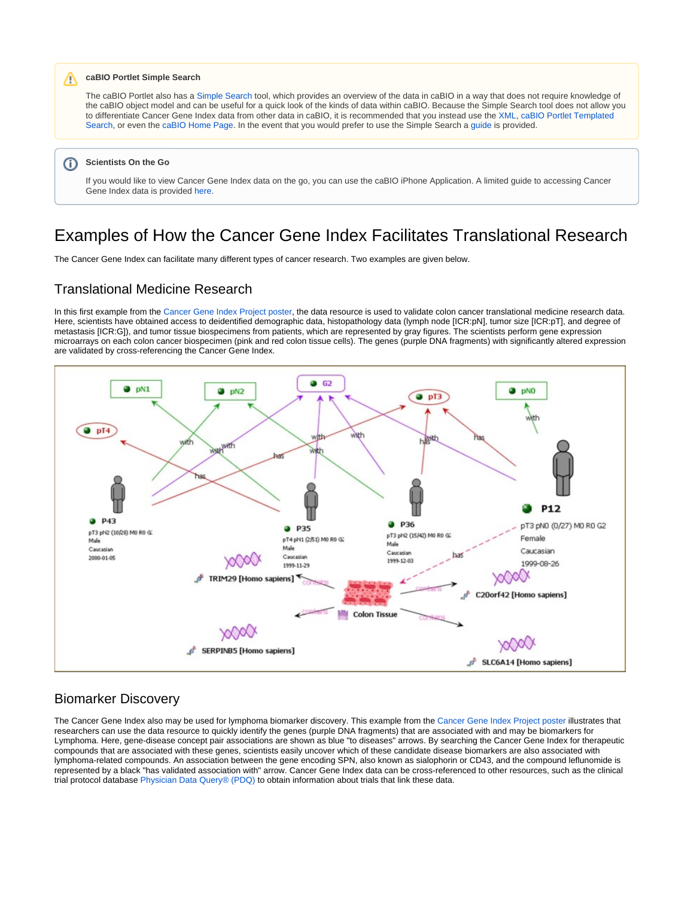#### **caBIO Portlet Simple Search**

The caBIO Portlet also has a [Simple Search](http://cagrid-portal.nci.nih.gov/web/guest/community?p_p_id=cabioportlet_WAR_cabioportlets_INSTANCE_R7dp&p_p_lifecycle=0&p_p_state=normal&p_p_mode=view&p_p_col_id=column-1&p_p_col_count=1&_cabioportlet_WAR_cabioportlets_INSTANCE_R7dp_struts_action=%2Fcabioportlet%2Fview&tabs1=Simple%20Search) tool, which provides an overview of the data in caBIO in a way that does not require knowledge of the caBIO object model and can be useful for a quick look of the kinds of data within caBIO. Because the Simple Search tool does not allow you to differentiate Cancer Gene Index data from other data in caBIO, it is recommended that you instead use the [XML,](https://wiki.nci.nih.gov/x/8i1yAQ) [caBIO Portlet Templated](https://wiki.nci.nih.gov/x/0C9yAQ)  [Search,](https://wiki.nci.nih.gov/x/0C9yAQ) or even the [caBIO Home Page.](https://wiki.nci.nih.gov/x/TTByAQ) In the event that you would prefer to use the Simple Search a [guide](https://wiki.nci.nih.gov/x/-TByAQ) is provided.

#### **Scientists On the Go** ⋒

Λ

If you would like to view Cancer Gene Index data on the go, you can use the caBIO iPhone Application. A limited guide to accessing Cancer Gene Index data is provided [here.](https://wiki.nci.nih.gov/x/VDFyAQ)

### <span id="page-2-0"></span>Examples of How the Cancer Gene Index Facilitates Translational Research

The Cancer Gene Index can facilitate many different types of cancer research. Two examples are given below.

### <span id="page-2-1"></span>Translational Medicine Research

In this first example from the [Cancer Gene Index Project poster,](https://cabig.nci.nih.gov/09_Annual_Meeting/2009_caBIG_Annual_Meeting_Posters.pdf) the data resource is used to validate colon cancer translational medicine research data. Here, scientists have obtained access to deidentified demographic data, histopathology data (lymph node [ICR:pN], tumor size [ICR:pT], and degree of metastasis [ICR:G]), and tumor tissue biospecimens from patients, which are represented by gray figures. The scientists perform gene expression microarrays on each colon cancer biospecimen (pink and red colon tissue cells). The genes (purple DNA fragments) with significantly altered expression are validated by cross-referencing the Cancer Gene Index.



### <span id="page-2-2"></span>Biomarker Discovery

The Cancer Gene Index also may be used for lymphoma biomarker discovery. This example from the [Cancer Gene Index Project poster](https://cabig.nci.nih.gov/09_Annual_Meeting/2009_caBIG_Annual_Meeting_Posters.pdf) illustrates that researchers can use the data resource to quickly identify the genes (purple DNA fragments) that are associated with and may be biomarkers for Lymphoma. Here, gene-disease concept pair associations are shown as blue "to diseases" arrows. By searching the Cancer Gene Index for therapeutic compounds that are associated with these genes, scientists easily uncover which of these candidate disease biomarkers are also associated with lymphoma-related compounds. An association between the gene encoding SPN, also known as sialophorin or CD43, and the compound leflunomide is represented by a black "has validated association with" arrow. Cancer Gene Index data can be cross-referenced to other resources, such as the clinical trial protocol database [Physician Data Query® \(PDQ\)](http://www.cancer.gov/cancertopics/pdq) to obtain information about trials that link these data.